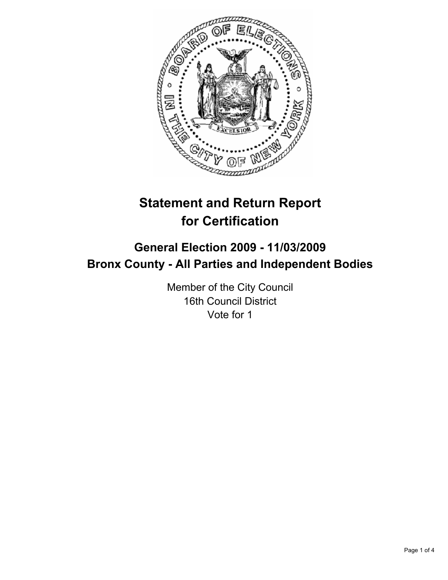

# **Statement and Return Report for Certification**

# **General Election 2009 - 11/03/2009 Bronx County - All Parties and Independent Bodies**

Member of the City Council 16th Council District Vote for 1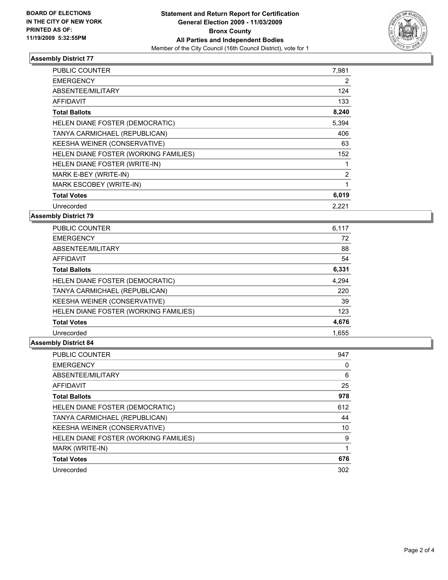

#### **Assembly District 77**

| <b>PUBLIC COUNTER</b>                 | 7,981 |
|---------------------------------------|-------|
| <b>EMERGENCY</b>                      | 2     |
| ABSENTEE/MILITARY                     | 124   |
| <b>AFFIDAVIT</b>                      | 133   |
| <b>Total Ballots</b>                  | 8,240 |
| HELEN DIANE FOSTER (DEMOCRATIC)       | 5,394 |
| TANYA CARMICHAEL (REPUBLICAN)         | 406   |
| KEESHA WEINER (CONSERVATIVE)          | 63    |
| HELEN DIANE FOSTER (WORKING FAMILIES) | 152   |
| HELEN DIANE FOSTER (WRITE-IN)         | 1     |
| MARK E-BEY (WRITE-IN)                 | 2     |
| MARK ESCOBEY (WRITE-IN)               | 1     |
| <b>Total Votes</b>                    | 6,019 |
| Unrecorded                            | 2,221 |

**Assembly District 79**

| <b>PUBLIC COUNTER</b>                 | 6,117 |
|---------------------------------------|-------|
| <b>EMERGENCY</b>                      | 72    |
| ABSENTEE/MILITARY                     | 88    |
| AFFIDAVIT                             | 54    |
| <b>Total Ballots</b>                  | 6,331 |
| HELEN DIANE FOSTER (DEMOCRATIC)       | 4,294 |
| TANYA CARMICHAEL (REPUBLICAN)         | 220   |
| KEESHA WEINER (CONSERVATIVE)          | 39    |
| HELEN DIANE FOSTER (WORKING FAMILIES) | 123   |
| <b>Total Votes</b>                    | 4,676 |
| Unrecorded                            | 1.655 |

## **Assembly District 84**

| <b>PUBLIC COUNTER</b>                 | 947 |
|---------------------------------------|-----|
| <b>EMERGENCY</b>                      | 0   |
| ABSENTEE/MILITARY                     | 6   |
| AFFIDAVIT                             | 25  |
| <b>Total Ballots</b>                  | 978 |
| HELEN DIANE FOSTER (DEMOCRATIC)       | 612 |
| TANYA CARMICHAEL (REPUBLICAN)         | 44  |
| KEESHA WEINER (CONSERVATIVE)          | 10  |
| HELEN DIANE FOSTER (WORKING FAMILIES) | 9   |
| MARK (WRITE-IN)                       |     |
| <b>Total Votes</b>                    | 676 |
| Unrecorded                            | 302 |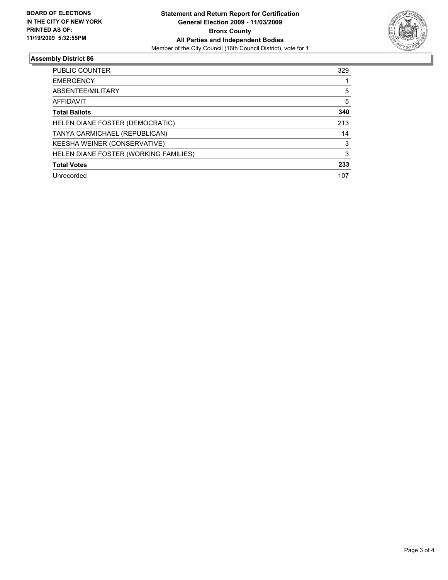

## **Assembly District 86**

| <b>PUBLIC COUNTER</b>                 | 329 |
|---------------------------------------|-----|
| <b>EMERGENCY</b>                      |     |
| ABSENTEE/MILITARY                     | 5   |
| <b>AFFIDAVIT</b>                      | 5   |
| <b>Total Ballots</b>                  | 340 |
| HELEN DIANE FOSTER (DEMOCRATIC)       | 213 |
| TANYA CARMICHAEL (REPUBLICAN)         | 14  |
| KEESHA WEINER (CONSERVATIVE)          | 3   |
| HELEN DIANE FOSTER (WORKING FAMILIES) | 3   |
| <b>Total Votes</b>                    | 233 |
| Unrecorded                            | 107 |